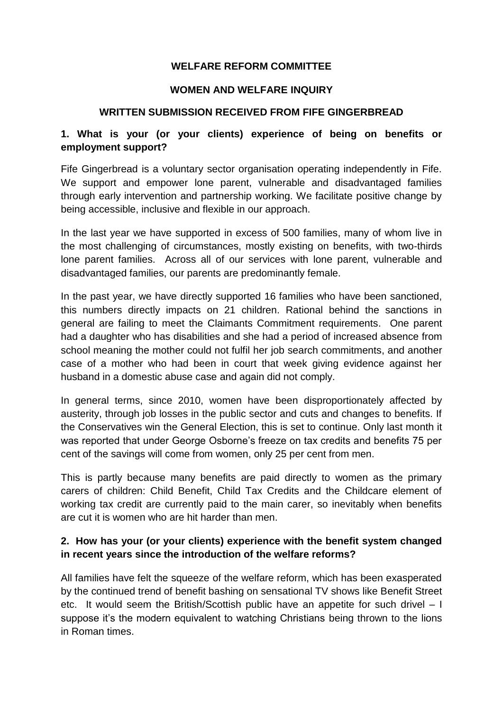## **WELFARE REFORM COMMITTEE**

#### **WOMEN AND WELFARE INQUIRY**

#### **WRITTEN SUBMISSION RECEIVED FROM FIFE GINGERBREAD**

## **1. What is your (or your clients) experience of being on benefits or employment support?**

Fife Gingerbread is a voluntary sector organisation operating independently in Fife. We support and empower lone parent, vulnerable and disadvantaged families through early intervention and partnership working. We facilitate positive change by being accessible, inclusive and flexible in our approach.

In the last year we have supported in excess of 500 families, many of whom live in the most challenging of circumstances, mostly existing on benefits, with two-thirds lone parent families. Across all of our services with lone parent, vulnerable and disadvantaged families, our parents are predominantly female.

In the past year, we have directly supported 16 families who have been sanctioned, this numbers directly impacts on 21 children. Rational behind the sanctions in general are failing to meet the Claimants Commitment requirements. One parent had a daughter who has disabilities and she had a period of increased absence from school meaning the mother could not fulfil her job search commitments, and another case of a mother who had been in court that week giving evidence against her husband in a domestic abuse case and again did not comply.

In general terms, since 2010, women have been disproportionately affected by austerity, through job losses in the public sector and cuts and changes to benefits. If the Conservatives win the General Election, this is set to continue. Only last month it was reported that under George Osborne's freeze on tax credits and benefits 75 per cent of the savings will come from women, only 25 per cent from men.

This is partly because many benefits are paid directly to women as the primary carers of children: Child Benefit, Child Tax Credits and the Childcare element of working tax credit are currently paid to the main carer, so inevitably when benefits are cut it is women who are hit harder than men.

## **2. How has your (or your clients) experience with the benefit system changed in recent years since the introduction of the welfare reforms?**

All families have felt the squeeze of the welfare reform, which has been exasperated by the continued trend of benefit bashing on sensational TV shows like Benefit Street etc. It would seem the British/Scottish public have an appetite for such drivel – I suppose it's the modern equivalent to watching Christians being thrown to the lions in Roman times.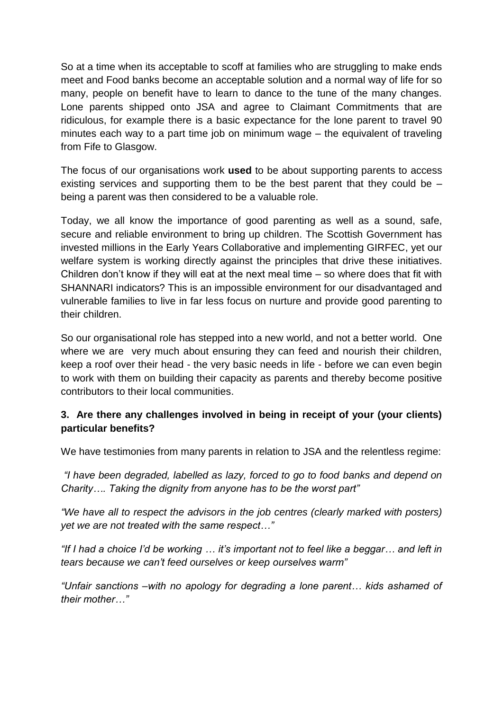So at a time when its acceptable to scoff at families who are struggling to make ends meet and Food banks become an acceptable solution and a normal way of life for so many, people on benefit have to learn to dance to the tune of the many changes. Lone parents shipped onto JSA and agree to Claimant Commitments that are ridiculous, for example there is a basic expectance for the lone parent to travel 90 minutes each way to a part time job on minimum wage – the equivalent of traveling from Fife to Glasgow.

The focus of our organisations work **used** to be about supporting parents to access existing services and supporting them to be the best parent that they could be – being a parent was then considered to be a valuable role.

Today, we all know the importance of good parenting as well as a sound, safe, secure and reliable environment to bring up children. The Scottish Government has invested millions in the Early Years Collaborative and implementing GIRFEC, yet our welfare system is working directly against the principles that drive these initiatives. Children don't know if they will eat at the next meal time – so where does that fit with SHANNARI indicators? This is an impossible environment for our disadvantaged and vulnerable families to live in far less focus on nurture and provide good parenting to their children.

So our organisational role has stepped into a new world, and not a better world. One where we are very much about ensuring they can feed and nourish their children, keep a roof over their head - the very basic needs in life - before we can even begin to work with them on building their capacity as parents and thereby become positive contributors to their local communities.

# **3. Are there any challenges involved in being in receipt of your (your clients) particular benefits?**

We have testimonies from many parents in relation to JSA and the relentless regime:

*"I have been degraded, labelled as lazy, forced to go to food banks and depend on Charity…. Taking the dignity from anyone has to be the worst part"* 

*"We have all to respect the advisors in the job centres (clearly marked with posters) yet we are not treated with the same respect…"*

*"If I had a choice I'd be working … it's important not to feel like a beggar… and left in tears because we can't feed ourselves or keep ourselves warm"*

*"Unfair sanctions –with no apology for degrading a lone parent… kids ashamed of their mother…"*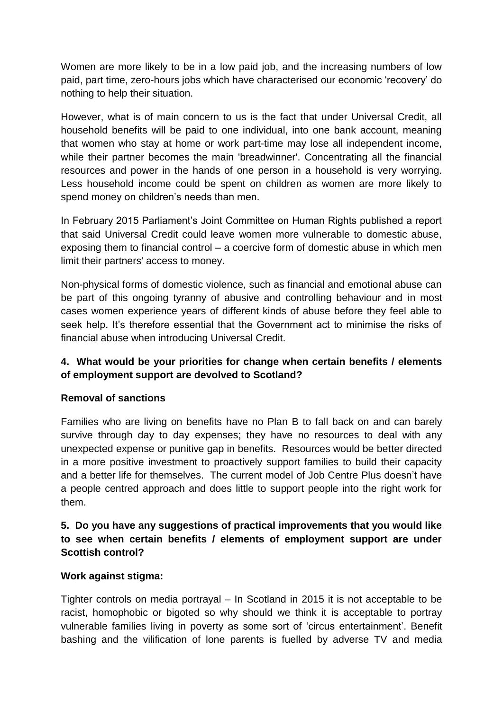Women are more likely to be in a low paid job, and the increasing numbers of low paid, part time, zero-hours jobs which have characterised our economic 'recovery' do nothing to help their situation.

However, what is of main concern to us is the fact that under Universal Credit, all household benefits will be paid to one individual, into one bank account, meaning that women who stay at home or work part-time may lose all independent income, while their partner becomes the main 'breadwinner'. Concentrating all the financial resources and power in the hands of one person in a household is very worrying. Less household income could be spent on children as women are more likely to spend money on children's needs than men.

In February 2015 Parliament's Joint Committee on Human Rights published a report that said Universal Credit could leave women more vulnerable to domestic abuse, exposing them to financial control – a coercive form of domestic abuse in which men limit their partners' access to money.

Non-physical forms of domestic violence, such as financial and emotional abuse can be part of this ongoing tyranny of abusive and controlling behaviour and in most cases women experience years of different kinds of abuse before they feel able to seek help. It's therefore essential that the Government act to minimise the risks of financial abuse when introducing Universal Credit.

# **4. What would be your priorities for change when certain benefits / elements of employment support are devolved to Scotland?**

## **Removal of sanctions**

Families who are living on benefits have no Plan B to fall back on and can barely survive through day to day expenses; they have no resources to deal with any unexpected expense or punitive gap in benefits. Resources would be better directed in a more positive investment to proactively support families to build their capacity and a better life for themselves. The current model of Job Centre Plus doesn't have a people centred approach and does little to support people into the right work for them.

# **5. Do you have any suggestions of practical improvements that you would like to see when certain benefits / elements of employment support are under Scottish control?**

## **Work against stigma:**

Tighter controls on media portrayal – In Scotland in 2015 it is not acceptable to be racist, homophobic or bigoted so why should we think it is acceptable to portray vulnerable families living in poverty as some sort of 'circus entertainment'. Benefit bashing and the vilification of lone parents is fuelled by adverse TV and media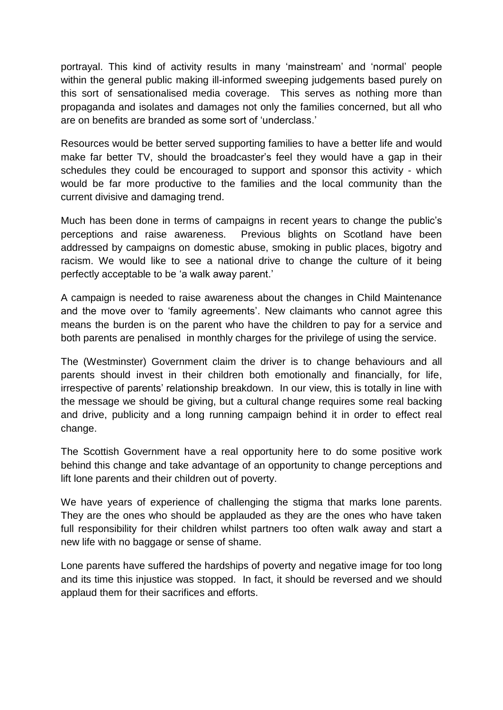portrayal. This kind of activity results in many 'mainstream' and 'normal' people within the general public making ill-informed sweeping judgements based purely on this sort of sensationalised media coverage. This serves as nothing more than propaganda and isolates and damages not only the families concerned, but all who are on benefits are branded as some sort of 'underclass.'

Resources would be better served supporting families to have a better life and would make far better TV, should the broadcaster's feel they would have a gap in their schedules they could be encouraged to support and sponsor this activity - which would be far more productive to the families and the local community than the current divisive and damaging trend.

Much has been done in terms of campaigns in recent years to change the public's perceptions and raise awareness. Previous blights on Scotland have been addressed by campaigns on domestic abuse, smoking in public places, bigotry and racism. We would like to see a national drive to change the culture of it being perfectly acceptable to be 'a walk away parent.'

A campaign is needed to raise awareness about the changes in Child Maintenance and the move over to 'family agreements'. New claimants who cannot agree this means the burden is on the parent who have the children to pay for a service and both parents are penalised in monthly charges for the privilege of using the service.

The (Westminster) Government claim the driver is to change behaviours and all parents should invest in their children both emotionally and financially, for life, irrespective of parents' relationship breakdown. In our view, this is totally in line with the message we should be giving, but a cultural change requires some real backing and drive, publicity and a long running campaign behind it in order to effect real change.

The Scottish Government have a real opportunity here to do some positive work behind this change and take advantage of an opportunity to change perceptions and lift lone parents and their children out of poverty.

We have years of experience of challenging the stigma that marks lone parents. They are the ones who should be applauded as they are the ones who have taken full responsibility for their children whilst partners too often walk away and start a new life with no baggage or sense of shame.

Lone parents have suffered the hardships of poverty and negative image for too long and its time this injustice was stopped. In fact, it should be reversed and we should applaud them for their sacrifices and efforts.